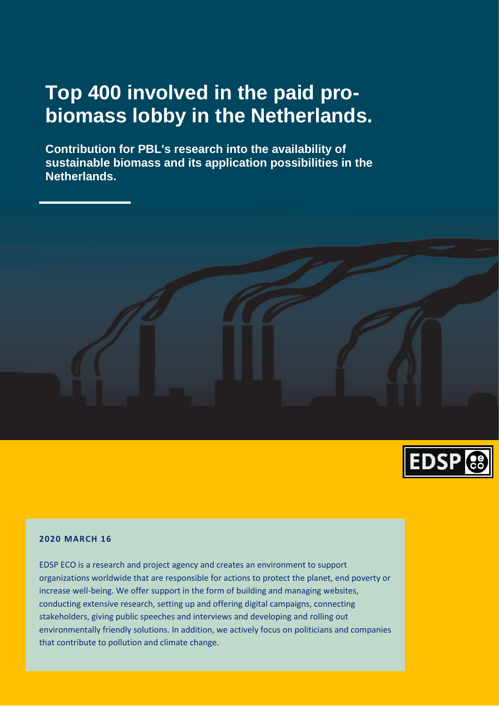# **Top 400 involved in the paid probiomass lobby in the Netherlands.**

**Contribution for PBL's research into the availability of sustainable biomass and its application possibilities in the Netherlands.**



### **2020 MARCH 16**

EDSP ECO is a research and project agency and creates an environment to support organizations worldwide that are responsible for actions to protect the planet, end poverty or increase well-being. We offer support in the form of building and managing websites, conducting extensive research, setting up and offering digital campaigns, connecting stakeholders, giving public speeches and interviews and developing and rolling out environmentally friendly solutions. In addition, we actively focus on politicians and companies that contribute to pollution and climate change.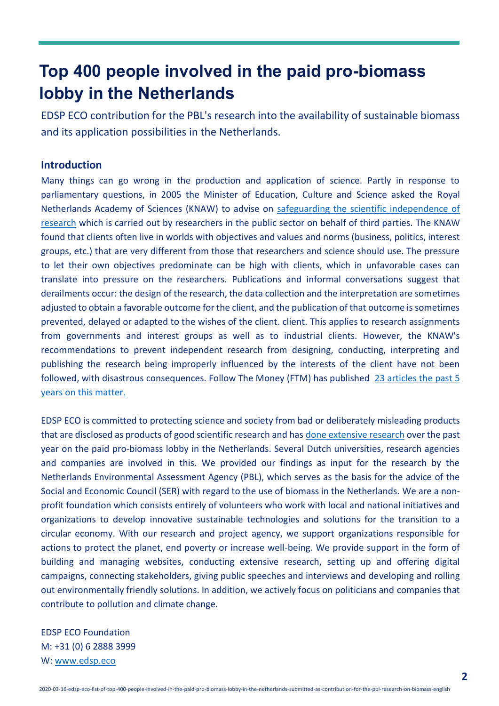# **Top 400 people involved in the paid pro-biomass lobby in the Netherlands**

EDSP ECO contribution for the PBL's research into the availability of sustainable biomass and its application possibilities in the Netherlands.

# **Introduction**

Many things can go wrong in the production and application of science. Partly in response to parliamentary questions, in 2005 the Minister of Education, Culture and Science asked the Royal Netherlands Academy of Sciences (KNAW) to advise on [safeguarding the scientific independence of](https://www.biomassmurder.org/docs/2005-09-00-knaw-wetenschap-op-bestelling-over-de-omgang-tussen-wetenschappelijk-onderzoekers-en-hun-opdrachtgevers-dutch.pdf)  [research](https://www.biomassmurder.org/docs/2005-09-00-knaw-wetenschap-op-bestelling-over-de-omgang-tussen-wetenschappelijk-onderzoekers-en-hun-opdrachtgevers-dutch.pdf) which is carried out by researchers in the public sector on behalf of third parties. The KNAW found that clients often live in worlds with objectives and values and norms (business, politics, interest groups, etc.) that are very different from those that researchers and science should use. The pressure to let their own objectives predominate can be high with clients, which in unfavorable cases can translate into pressure on the researchers. Publications and informal conversations suggest that derailments occur: the design of the research, the data collection and the interpretation are sometimes adjusted to obtain a favorable outcome for the client, and the publication of that outcome is sometimes prevented, delayed or adapted to the wishes of the client. client. This applies to research assignments from governments and interest groups as well as to industrial clients. However, the KNAW's recommendations to prevent independent research from designing, conducting, interpreting and publishing the research being improperly influenced by the interests of the client have not been followed, with disastrous consequences. Follow The Money (FTM) has published [23 articles the past 5](https://www.ftm.nl/dossier/wetenschap-op-bestelling)  [years on this matter.](https://www.ftm.nl/dossier/wetenschap-op-bestelling)

EDSP ECO is committed to protecting science and society from bad or deliberately misleading products that are disclosed as products of good scientific research and ha[s done extensive research](https://www.biomassmurder.org/research/lobby-facts.html) over the past year on the paid pro-biomass lobby in the Netherlands. Several Dutch universities, research agencies and companies are involved in this. We provided our findings as input for the research by the Netherlands Environmental Assessment Agency (PBL), which serves as the basis for the advice of the Social and Economic Council (SER) with regard to the use of biomass in the Netherlands. We are a nonprofit foundation which consists entirely of volunteers who work with local and national initiatives and organizations to develop innovative sustainable technologies and solutions for the transition to a circular economy. With our research and project agency, we support organizations responsible for actions to protect the planet, end poverty or increase well-being. We provide support in the form of building and managing websites, conducting extensive research, setting up and offering digital campaigns, connecting stakeholders, giving public speeches and interviews and developing and rolling out environmentally friendly solutions. In addition, we actively focus on politicians and companies that contribute to pollution and climate change.

EDSP ECO Foundation M: +31 (0) 6 2888 3999 W: [www.edsp.eco](http://www.edsp.eco/)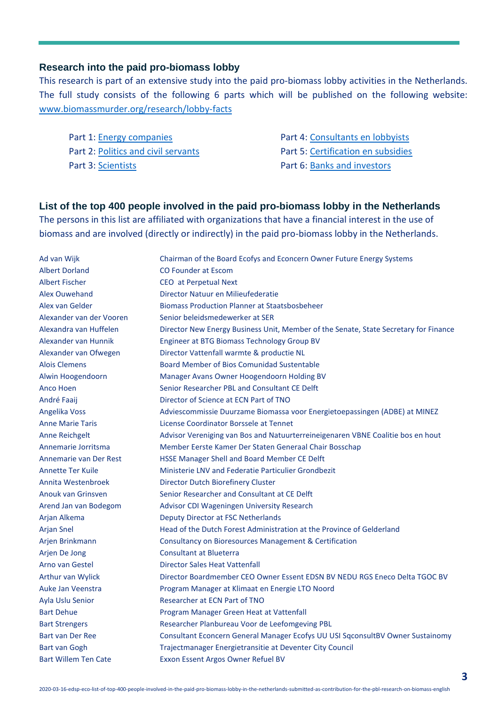### **Research into the paid pro-biomass lobby**

This research is part of an extensive study into the paid pro-biomass lobby activities in the Netherlands. The full study consists of the following 6 parts which will be published on the following website: [www.biomassmurder.org/research/lobby-facts](https://www.biomassmurder.org/research/lobby-facts.html)

Part 1: [Energy companies](https://www.biomassmurder.org/research/lobby-facts.html#energy-companies) **Part 4[: Consultants en lobbyists](https://www.biomassmurder.org/research/lobby-facts.html#consultants)** Part 2: [Politics and civil](https://www.biomassmurder.org/research/lobby-facts.html#politicians) servants Part 5[: Certification](https://www.biomassmurder.org/research/lobby-facts.html#certification) en subsidies Part 3: [Scientists](https://www.biomassmurder.org/research/lobby-facts.html#scientists) **Part 6: Banks [and investors](https://www.biomassmurder.org/research/lobby-facts.html#investors)** 

## **List of the top 400 people involved in the paid pro-biomass lobby in the Netherlands**

The persons in this list are affiliated with organizations that have a financial interest in the use of biomass and are involved (directly or indirectly) in the paid pro-biomass lobby in the Netherlands.

Ad van Wijk Chairman of the Board Ecofys and Econcern Owner Future Energy Systems Albert Dorland CO Founder at Escom Albert Fischer CEO at Perpetual Next Alex Ouwehand Director Natuur en Milieufederatie Alex van Gelder Biomass Production Planner at Staatsbosbeheer Alexander van der Vooren Senior beleidsmedewerker at SER Alexandra van Huffelen Director New Energy Business Unit, Member of the Senate, State Secretary for Finance Alexander van Hunnik Engineer at BTG Biomass Technology Group BV Alexander van Ofwegen Director Vattenfall warmte & productie NL Alois Clemens Board Member of Bios Comunidad Sustentable Alwin Hoogendoorn Manager Avans Owner Hoogendoorn Holding BV Anco Hoen Senior Researcher PBL and Consultant CE Delft André Faaij **Director of Science at ECN Part of TNO** Angelika Voss Adviescommissie Duurzame Biomassa voor Energietoepassingen (ADBE) at MINEZ Anne Marie Taris License Coordinator Borssele at Tennet Anne Reichgelt Advisor Vereniging van Bos and Natuurterreineigenaren VBNE Coalitie bos en hout Annemarie Jorritsma Member Eerste Kamer Der Staten Generaal Chair Bosschap Annemarie van Der Rest HSSE Manager Shell and Board Member CE Delft Annette Ter Kuile Ministerie LNV and Federatie Particulier Grondbezit Annita Westenbroek Director Dutch Biorefinery Cluster Anouk van Grinsven Senior Researcher and Consultant at CE Delft Arend Jan van Bodegom Advisor CDI Wageningen University Research Arjan Alkema<br>
Deputy Director at FSC Netherlands Arjan Snel Head of the Dutch Forest Administration at the Province of Gelderland Arjen Brinkmann Consultancy on Bioresources Management & Certification Arjen De Jong Consultant at Blueterra Arno van Gestel **Director Sales Heat Vattenfall** Arthur van Wylick Director Boardmember CEO Owner Essent EDSN BV NEDU RGS Eneco Delta TGOC BV Auke Jan Veenstra Program Manager at Klimaat en Energie LTO Noord Ayla Uslu Senior **Researcher at ECN Part of TNO** Bart Dehue **Program Manager Green Heat at Vattenfall** Bart Strengers **Researcher Planbureau Voor de Leefomgeving PBL** Bart van Der Ree Consultant Econcern General Manager Ecofys UU USI SqconsultBV Owner Sustainomy Bart van Gogh Trajectmanager Energietransitie at Deventer City Council Bart Willem Ten Cate **Exxon Essent Argos Owner Refuel BV**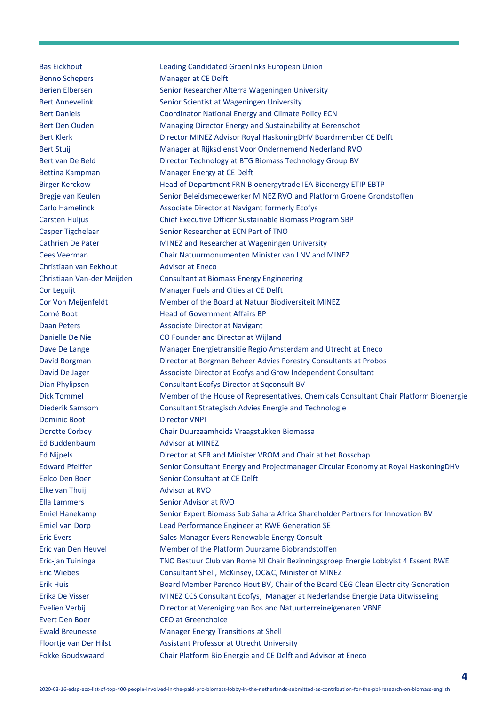Benno Schepers Manager at CE Delft Christiaan van Eekhout **Advisor at Eneco** Dominic Boot Director VNPI Ed Buddenbaum **Advisor at MINEZ** Elke van Thuijl **Advisor** at RVO Ella Lammers Senior Advisor at RVO Evert Den Boer CEO at Greenchoice

Bas Eickhout Leading Candidated Groenlinks European Union Berien Elbersen Senior Researcher Alterra Wageningen University Bert Annevelink Senior Scientist at Wageningen University Bert Daniels Coordinator National Energy and Climate Policy ECN Bert Den Ouden Managing Director Energy and Sustainability at Berenschot Bert Klerk **Director MINEZ Advisor Royal HaskoningDHV Boardmember CE Delft** Bert Stuij Manager at Rijksdienst Voor Ondernemend Nederland RVO Bert van De Beld Director Technology at BTG Biomass Technology Group BV Bettina Kampman Manager Energy at CE Delft Birger Kerckow Head of Department FRN Bioenergytrade IEA Bioenergy ETIP EBTP Bregje van Keulen Senior Beleidsmedewerker MINEZ RVO and Platform Groene Grondstoffen Carlo Hamelinck **Associate Director at Navigant formerly Ecofys** Carsten Huljus Chief Executive Officer Sustainable Biomass Program SBP Casper Tigchelaar Senior Researcher at ECN Part of TNO Cathrien De Pater MINEZ and Researcher at Wageningen University Cees Veerman Chair Natuurmonumenten Minister van LNV and MINEZ Christiaan Van-der Meijden Consultant at Biomass Energy Engineering Cor Leguijt **Cor** Leguijt Manager Fuels and Cities at CE Delft Cor Von Meijenfeldt Member of the Board at Natuur Biodiversiteit MINEZ Corné Boot **Head of Government Affairs BP** Daan Peters **Associate Director at Navigant** Danielle De Nie CO Founder and Director at Wijland Dave De Lange Manager Energietransitie Regio Amsterdam and Utrecht at Eneco David Borgman Director at Borgman Beheer Advies Forestry Consultants at Probos David De Jager Associate Director at Ecofys and Grow Independent Consultant Dian Phylipsen Consultant Ecofys Director at Sqconsult BV Dick Tommel Member of the House of Representatives, Chemicals Consultant Chair Platform Bioenergie Diederik Samsom Consultant Strategisch Advies Energie and Technologie Dorette Corbey Chair Duurzaamheids Vraagstukken Biomassa Ed Nijpels Director at SER and Minister VROM and Chair at het Bosschap Edward Pfeiffer Senior Consultant Energy and Projectmanager Circular Economy at Royal HaskoningDHV Eelco Den Boer Senior Consultant at CE Delft Emiel Hanekamp Senior Expert Biomass Sub Sahara Africa Shareholder Partners for Innovation BV Emiel van Dorp Lead Performance Engineer at RWE Generation SE Eric Evers Sales Manager Evers Renewable Energy Consult Eric van Den Heuvel Member of the Platform Duurzame Biobrandstoffen Eric-jan Tuininga TNO Bestuur Club van Rome Nl Chair Bezinningsgroep Energie Lobbyist 4 Essent RWE Eric Wiebes Consultant Shell, McKinsey, OC&C, Minister of MINEZ Erik Huis Board Member Parenco Hout BV, Chair of the Board CEG Clean Electricity Generation Erika De Visser MINEZ CCS Consultant Ecofys, Manager at Nederlandse Energie Data Uitwisseling Evelien Verbij Director at Vereniging van Bos and Natuurterreineigenaren VBNE Ewald Breunesse Manager Energy Transitions at Shell Floortje van Der Hilst Assistant Professor at Utrecht University Fokke Goudswaard Chair Platform Bio Energie and CE Delft and Advisor at Eneco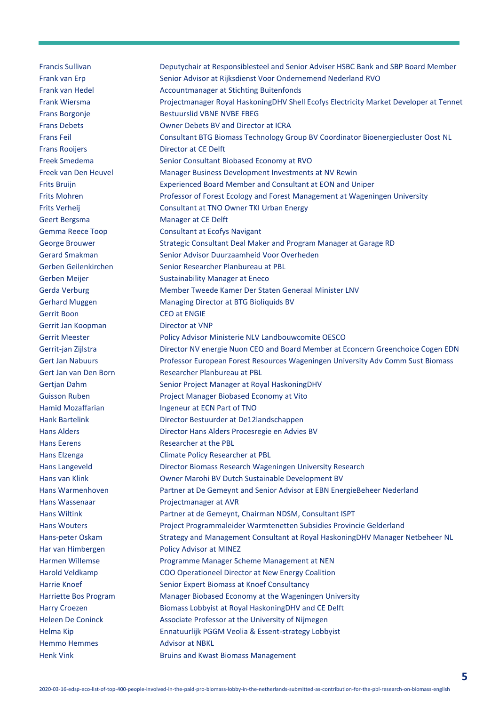Francis Sullivan Deputychair at Responsiblesteel and Senior Adviser HSBC Bank and SBP Board Member Frank van Erp Senior Advisor at Rijksdienst Voor Ondernemend Nederland RVO Frank van Hedel **Accountmanager at Stichting Buitenfonds** Frank Wiersma Projectmanager Royal HaskoningDHV Shell Ecofys Electricity Market Developer at Tennet Frans Borgonje Bestuurslid VBNE NVBE FBEG Frans Debets Owner Debets BV and Director at ICRA Frans Feil Consultant BTG Biomass Technology Group BV Coordinator Bioenergiecluster Oost NL Frans Rooijers **Director at CE Delft** Freek Smedema Senior Consultant Biobased Economy at RVO Freek van Den Heuvel Manager Business Development Investments at NV Rewin Frits Bruijn Experienced Board Member and Consultant at EON and Uniper Frits Mohren Professor of Forest Ecology and Forest Management at Wageningen University Frits Verheij Consultant at TNO Owner TKI Urban Energy Geert Bergsma<br>
Manager at CE Delft Gemma Reece Toop Consultant at Ecofys Navigant George Brouwer Strategic Consultant Deal Maker and Program Manager at Garage RD Gerard Smakman Senior Advisor Duurzaamheid Voor Overheden Gerben Geilenkirchen Senior Researcher Planbureau at PBL Gerben Meijer **Sustainability Manager at Eneco** Gerda Verburg Member Tweede Kamer Der Staten Generaal Minister LNV Gerhard Muggen Managing Director at BTG Bioliquids BV Gerrit Boon CEO at ENGIE Gerrit Jan Koopman Director at VNP Gerrit Meester **Policy Advisor Ministerie NLV Landbouwcomite OESCO** Gerrit-jan Zijlstra **Director NV energie Nuon CEO and Board Member at Econcern Greenchoice Cogen EDN** Gert Jan Nabuurs Professor European Forest Resources Wageningen University Adv Comm Sust Biomass Gert Jan van Den Born Researcher Planbureau at PBL Gertjan Dahm Senior Project Manager at Royal HaskoningDHV Guisson Ruben Project Manager Biobased Economy at Vito Hamid Mozaffarian **Ingeneur at ECN Part of TNO** Hank Bartelink Director Bestuurder at De12landschappen Hans Alders Director Hans Alders Procesregie en Advies BV Hans Eerens Researcher at the PBL Hans Elzenga Climate Policy Researcher at PBL Hans Langeveld Director Biomass Research Wageningen University Research Hans van Klink Owner Marohi BV Dutch Sustainable Development BV Hans Warmenhoven Partner at De Gemeynt and Senior Advisor at EBN EnergieBeheer Nederland Hans Wassenaar **Projectmanager at AVR** Hans Wiltink Partner at de Gemeynt, Chairman NDSM, Consultant ISPT Hans Wouters Project Programmaleider Warmtenetten Subsidies Provincie Gelderland Hans-peter Oskam Strategy and Management Consultant at Royal HaskoningDHV Manager Netbeheer NL Har van Himbergen Policy Advisor at MINEZ Harmen Willemse Programme Manager Scheme Management at NEN Harold Veldkamp COO Operationeel Director at New Energy Coalition Harrie Knoef Senior Expert Biomass at Knoef Consultancy Harriette Bos Program Manager Biobased Economy at the Wageningen University Harry Croezen Biomass Lobbyist at Royal HaskoningDHV and CE Delft Heleen De Coninck Associate Professor at the University of Nijmegen Helma Kip **Ennatuurlijk PGGM Veolia & Essent-strategy Lobbyist** Ennatuurlijk PGGM Veolia & Essent-strategy Lobbyist Hemmo Hemmes Advisor at NBKL Henk Vink **Bruins and Kwast Biomass Management**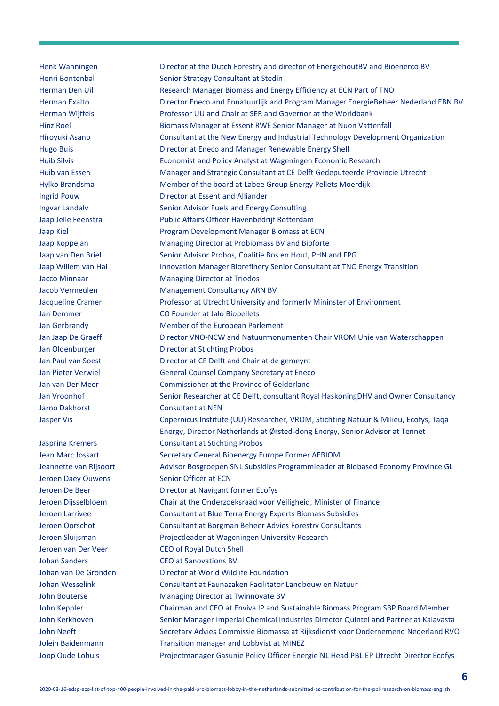Henk Wanningen Director at the Dutch Forestry and director of EnergiehoutBV and Bioenerco BV Henri Bontenbal Senior Strategy Consultant at Stedin Herman Den Uil **Research Manager Biomass and Energy Efficiency at ECN Part of TNO** Herman Exalto Director Eneco and Ennatuurlijk and Program Manager EnergieBeheer Nederland EBN BV Herman Wijffels Professor UU and Chair at SER and Governor at the Worldbank Hinz Roel Biomass Manager at Essent RWE Senior Manager at Nuon Vattenfall Hiroyuki Asano Consultant at the New Energy and Industrial Technology Development Organization Hugo Buis Director at Eneco and Manager Renewable Energy Shell Huib Silvis Economist and Policy Analyst at Wageningen Economic Research Huib van Essen Manager and Strategic Consultant at CE Delft Gedeputeerde Provincie Utrecht Hylko Brandsma Member of the board at Labee Group Energy Pellets Moerdijk Ingrid Pouw Director at Essent and Alliander Ingvar Landalv Senior Advisor Fuels and Energy Consulting Jaap Jelle Feenstra Public Affairs Officer Havenbedrijf Rotterdam Jaap Kiel **Program Development Manager Biomass at ECN** Jaap Koppejan Managing Director at Probiomass BV and Bioforte Jaap van Den Briel Senior Advisor Probos, Coalitie Bos en Hout, PHN and FPG Jaap Willem van Hal **Innovation Manager Biorefinery Senior Consultant at TNO Energy Transition** Jacco Minnaar Managing Director at Triodos Jacob Vermeulen Management Consultancy ARN BV Jacqueline Cramer Professor at Utrecht University and formerly Mininster of Environment Jan Demmer CO Founder at Jalo Biopellets Jan Gerbrandy Member of the European Parlement Jan Jaap De Graeff **Director VNO-NCW and Natuurmonumenten Chair VROM Unie van Waterschappen** Jan Oldenburger **Director at Stichting Probos** Jan Paul van Soest Director at CE Delft and Chair at de gemeynt Jan Pieter Verwiel General Counsel Company Secretary at Eneco Jan van Der Meer Commissioner at the Province of Gelderland Jan Vroonhof Senior Researcher at CE Delft, consultant Royal HaskoningDHV and Owner Consultancy Jarno Dakhorst **Consultant at NEN** Jasper Vis **Copernicus Institute (UU) Researcher, VROM**, Stichting Natuur & Milieu, Ecofys, Taqa Energy, Director Netherlands at Ørsted-dong Energy, Senior Advisor at Tennet Jasprina Kremers Consultant at Stichting Probos Jean Marc Jossart Secretary General Bioenergy Europe Former AEBIOM Jeannette van Rijsoort Advisor Bosgroepen SNL Subsidies Programmleader at Biobased Economy Province GL Jeroen Daey Ouwens Senior Officer at ECN Jeroen De Beer Director at Navigant former Ecofys Jeroen Dijsselbloem Chair at the Onderzoeksraad voor Veiligheid, Minister of Finance Jeroen Larrivee Consultant at Blue Terra Energy Experts Biomass Subsidies Jeroen Oorschot Consultant at Borgman Beheer Advies Forestry Consultants Jeroen Sluijsman Projectleader at Wageningen University Research Jeroen van Der Veer CEO of Royal Dutch Shell Johan Sanders CEO at Sanovations BV Johan van De Gronden Director at World Wildlife Foundation Johan Wesselink Consultant at Faunazaken Facilitator Landbouw en Natuur John Bouterse Managing Director at Twinnovate BV John Keppler **Chairman and CEO at Enviva IP and Sustainable Biomass Program SBP Board Member** John Kerkhoven Senior Manager Imperial Chemical Industries Director Quintel and Partner at Kalavasta John Neeft Secretary Advies Commissie Biomassa at Rijksdienst voor Ondernemend Nederland RVO Jolein Baidenmann Transition manager and Lobbyist at MINEZ Joop Oude Lohuis **Projectmanager Gasunie Policy Officer Energie NL Head PBL EP Utrecht Director Ecofys**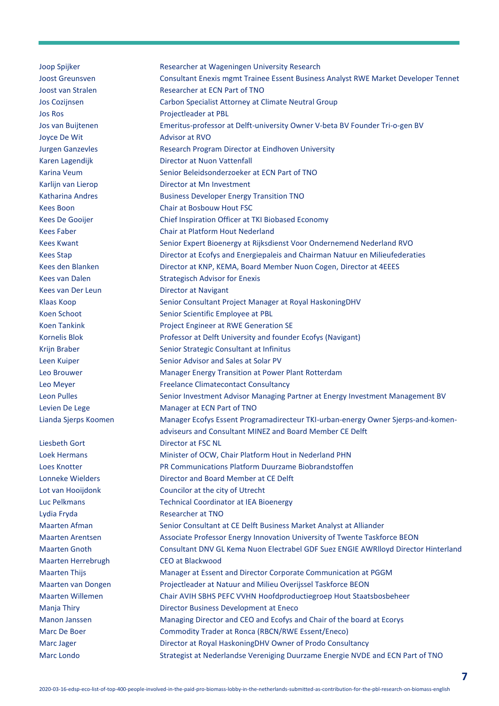Joop Spijker Researcher at Wageningen University Research Joost Greunsven Consultant Enexis mgmt Trainee Essent Business Analyst RWE Market Developer Tennet Joost van Stralen Researcher at ECN Part of TNO Jos Cozijnsen Carbon Specialist Attorney at Climate Neutral Group Jos Ros Projectleader at PBL Jos van Buijtenen Emeritus-professor at Delft-university Owner V-beta BV Founder Tri-o-gen BV Joyce De Wit Advisor at RVO Jurgen Ganzevles **Research Program Director at Eindhoven University** Karen Lagendijk Director at Nuon Vattenfall Karina Veum Senior Beleidsonderzoeker at ECN Part of TNO Karlijn van Lierop Director at Mn Investment Katharina Andres **Business Developer Energy Transition TNO** Kees Boon Chair at Bosbouw Hout FSC Kees De Gooijer **Chief Inspiration Officer at TKI Biobased Economy** Kees Faber Chair at Platform Hout Nederland Kees Kwant Senior Expert Bioenergy at Rijksdienst Voor Ondernemend Nederland RVO Kees Stap Director at Ecofys and Energiepaleis and Chairman Natuur en Milieufederaties Kees den Blanken Director at KNP, KEMA, Board Member Nuon Cogen, Director at 4EEES Kees van Dalen Strategisch Advisor for Enexis Kees van Der Leun Director at Navigant Klaas Koop Senior Consultant Project Manager at Royal HaskoningDHV Koen Schoot Senior Scientific Employee at PBL Koen Tankink **Example 20 Froject Engineer at RWE Generation SE** Kornelis Blok Professor at Delft University and founder Ecofys (Navigant) Krijn Braber Senior Strategic Consultant at Infinitus Leen Kuiper Senior Advisor and Sales at Solar PV Leo Brouwer Manager Energy Transition at Power Plant Rotterdam Leo Meyer **Freelance Climatecontact Consultancy** Leon Pulles Senior Investment Advisor Managing Partner at Energy Investment Management BV Levien De Lege Manager at ECN Part of TNO Lianda Sjerps Koomen Manager Ecofys Essent Programadirecteur TKI-urban-energy Owner Sjerps-and-komenadviseurs and Consultant MINEZ and Board Member CE Delft Liesbeth Gort **Director at FSC NL** Loek Hermans Minister of OCW, Chair Platform Hout in Nederland PHN Loes Knotter PR Communications Platform Duurzame Biobrandstoffen Lonneke Wielders Director and Board Member at CE Delft Lot van Hooijdonk Councilor at the city of Utrecht Luc Pelkmans Technical Coordinator at IEA Bioenergy Lydia Fryda Researcher at TNO Maarten Afman Senior Consultant at CE Delft Business Market Analyst at Alliander Maarten Arentsen Associate Professor Energy Innovation University of Twente Taskforce BEON Maarten Gnoth Consultant DNV GL Kema Nuon Electrabel GDF Suez ENGIE AWRlloyd Director Hinterland Maarten Herrebrugh CEO at Blackwood Maarten Thijs Manager at Essent and Director Corporate Communication at PGGM Maarten van Dongen Projectleader at Natuur and Milieu Overijssel Taskforce BEON Maarten Willemen Chair AVIH SBHS PEFC VVHN Hoofdproductiegroep Hout Staatsbosbeheer Manja Thiry **Director Business Development at Eneco** Manon Janssen Managing Director and CEO and Ecofys and Chair of the board at Ecorys Marc De Boer Commodity Trader at Ronca (RBCN/RWE Essent/Eneco) Marc Jager **Director at Royal HaskoningDHV Owner of Prodo Consultancy** Marc Londo Strategist at Nederlandse Vereniging Duurzame Energie NVDE and ECN Part of TNO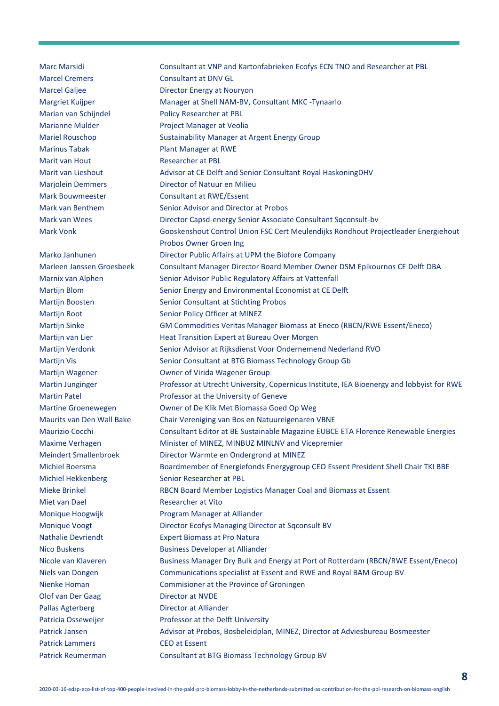Marc Marsidi Consultant at VNP and Kartonfabrieken Ecofys ECN TNO and Researcher at PBL Marcel Cremers Consultant at DNV GL Marcel Galjee **Director Energy at Nouryon** Margriet Kuijper Manager at Shell NAM-BV, Consultant MKC -Tynaarlo Marian van Schijndel Policy Researcher at PBL Marianne Mulder **Project Manager at Veolia** Mariel Rouschop Sustainability Manager at Argent Energy Group Marinus Tabak Plant Manager at RWE Marit van Hout Researcher at PBL Marit van Lieshout **Advisor at CE Delft and Senior Consultant Royal HaskoningDHV** Marjolein Demmers Director of Natuur en Milieu Mark Bouwmeester **Consultant at RWE/Essent** Mark van Benthem Senior Advisor and Director at Probos Mark van Wees Director Capsd-energy Senior Associate Consultant Sqconsult-bv Mark Vonk Gooskenshout Control Union FSC Cert Meulendijks Rondhout Projectleader Energiehout Probos Owner Groen Ing Marko Janhunen **Director Public Affairs at UPM the Biofore Company** Marleen Janssen Groesbeek Consultant Manager Director Board Member Owner DSM Epikournos CE Delft DBA Marnix van Alphen Senior Advisor Public Regulatory Affairs at Vattenfall Martijn Blom Senior Energy and Environmental Economist at CE Delft Martijn Boosten Senior Consultant at Stichting Probos Martijn Root Senior Policy Officer at MINEZ Martijn Sinke GM Commodities Veritas Manager Biomass at Eneco (RBCN/RWE Essent/Eneco) Martijn van Lier **Heat Transition Expert at Bureau Over Morgen** Martijn Verdonk Senior Advisor at Rijksdienst Voor Ondernemend Nederland RVO Martijn Vis **Senior Consultant at BTG Biomass Technology Group Gb** Senior Consultant at BTG Biomass Technology Group Gb Martijn Wagener **Owner of Virida Wagener Group** Martin Junginger Professor at Utrecht University, Copernicus Institute, IEA Bioenergy and lobbyist for RWE Martin Patel **Professor at the University of Geneve** Martine Groenewegen Owner of De Klik Met Biomassa Goed Op Weg Maurits van Den Wall Bake Chair Vereniging van Bos en Natuureigenaren VBNE Maurizio Cocchi Consultant Editor at BE Sustainable Magazine EUBCE ETA Florence Renewable Energies Maxime Verhagen Minister of MINEZ, MINBUZ MINLNV and Vicepremier Meindert Smallenbroek Director Warmte en Ondergrond at MINEZ Michiel Boersma Boardmember of Energiefonds Energygroup CEO Essent President Shell Chair TKI BBE Michiel Hekkenberg Senior Researcher at PBL Mieke Brinkel RBCN Board Member Logistics Manager Coal and Biomass at Essent Miet van Dael **Researcher at Vito** Monique Hoogwijk Program Manager at Alliander Monique Voogt Director Ecofys Managing Director at Sqconsult BV Nathalie Devriendt Expert Biomass at Pro Natura Nico Buskens **Business Developer at Alliander** Nicole van Klaveren Business Manager Dry Bulk and Energy at Port of Rotterdam (RBCN/RWE Essent/Eneco) Niels van Dongen Communications specialist at Essent and RWE and Royal BAM Group BV Nienke Homan Commisioner at the Province of Groningen Olof van Der Gaag Director at NVDE Pallas Agterberg **Director at Alliander** Patricia Osseweijer **Professor at the Delft University** Patrick Jansen Advisor at Probos, Bosbeleidplan, MINEZ, Director at Adviesbureau Bosmeester Patrick Lammers CEO at Essent Patrick Reumerman Consultant at BTG Biomass Technology Group BV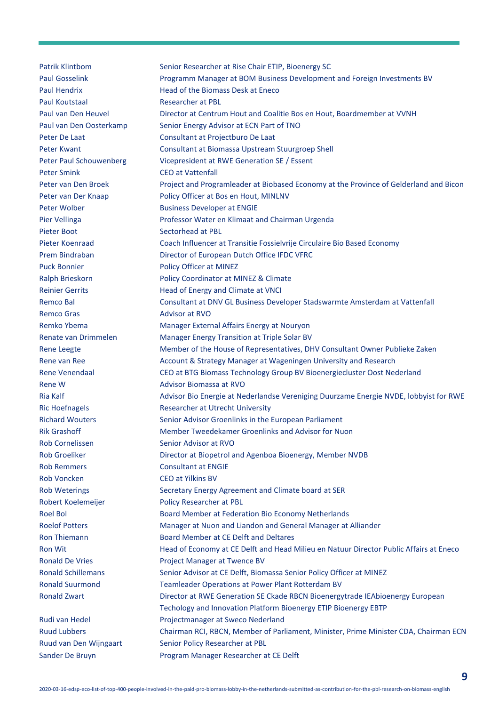Patrik Klintbom Senior Researcher at Rise Chair ETIP, Bioenergy SC Paul Gosselink **Programm Manager at BOM Business Development and Foreign Investments BV** Paul Hendrix Head of the Biomass Desk at Eneco Paul Koutstaal Researcher at PBL Paul van Den Heuvel Director at Centrum Hout and Coalitie Bos en Hout, Boardmember at VVNH Paul van Den Oosterkamp Senior Energy Advisor at ECN Part of TNO Peter De Laat Consultant at Projectburo De Laat Peter Kwant Consultant at Biomassa Upstream Stuurgroep Shell Peter Paul Schouwenberg Vicepresident at RWE Generation SE / Essent Peter Smink CEO at Vattenfall Peter van Den Broek Project and Programleader at Biobased Economy at the Province of Gelderland and Bicon Peter van Der Knaap Policy Officer at Bos en Hout, MINLNV Peter Wolber Business Developer at ENGIE Pier Vellinga **Professor Water en Klimaat and Chairman Urgenda** Pieter Boot Sectorhead at PBL Pieter Koenraad Coach Influencer at Transitie Fossielvrije Circulaire Bio Based Economy Prem Bindraban Director of European Dutch Office IFDC VFRC Puck Bonnier Policy Officer at MINEZ Ralph Brieskorn Policy Coordinator at MINEZ & Climate Reinier Gerrits **Head of Energy and Climate at VNCI** Remco Bal Consultant at DNV GL Business Developer Stadswarmte Amsterdam at Vattenfall Remco Gras **Advisor at RVO** Remko Ybema **Manager External Affairs Energy at Nouryon** Renate van Drimmelen Manager Energy Transition at Triple Solar BV Rene Leegte Member of the House of Representatives, DHV Consultant Owner Publieke Zaken Rene van Ree **Account & Strategy Manager at Wageningen University and Research** Research Rene Venendaal CEO at BTG Biomass Technology Group BV Bioenergiecluster Oost Nederland Rene W **Advisor Biomassa at RVO** Ria Kalf **Advisor Bio Energie at Nederlandse Vereniging Duurzame Energie NVDE**, lobbyist for RWE Ric Hoefnagels Researcher at Utrecht University Richard Wouters Senior Advisor Groenlinks in the European Parliament Rik Grashoff Member Tweedekamer Groenlinks and Advisor for Nuon Rob Cornelissen Senior Advisor at RVO Rob Groeliker **Director at Biopetrol and Agenboa Bioenergy, Member NVDB** Rob Remmers **Consultant at ENGIE** Rob Voncken CEO at Yilkins BV Rob Weterings Secretary Energy Agreement and Climate board at SER Robert Koelemeijer Policy Researcher at PBL Roel Bol Board Member at Federation Bio Economy Netherlands Roelof Potters Manager at Nuon and Liandon and General Manager at Alliander Ron Thiemann Board Member at CE Delft and Deltares Ron Wit **Head of Economy at CE Delft and Head Milieu en Natuur Director Public Affairs at Eneco** Ronald De Vries **Project Manager at Twence BV** Ronald Schillemans Senior Advisor at CE Delft, Biomassa Senior Policy Officer at MINEZ Ronald Suurmond Teamleader Operations at Power Plant Rotterdam BV Ronald Zwart **Director at RWE Generation SE Ckade RBCN Bioenergytrade IEAbioenergy European** Techology and Innovation Platform Bioenergy ETIP Bioenergy EBTP Rudi van Hedel Projectmanager at Sweco Nederland Ruud Lubbers Chairman RCI, RBCN, Member of Parliament, Minister, Prime Minister CDA, Chairman ECN Ruud van Den Wijngaart Senior Policy Researcher at PBL Sander De Bruyn Program Manager Researcher at CE Delft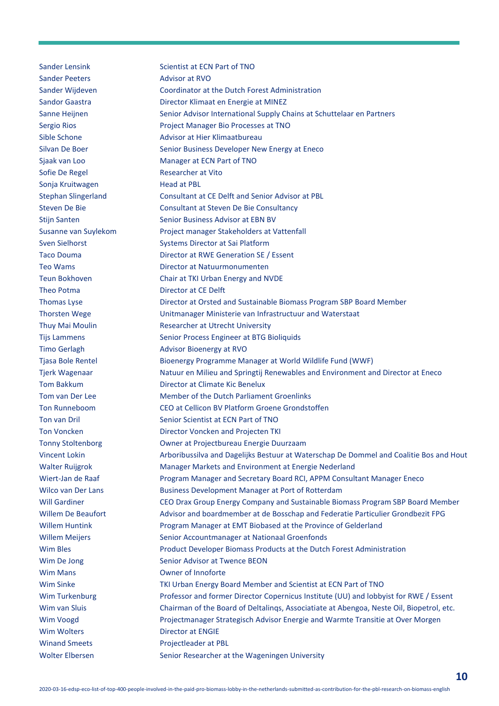Sander Lensink Scientist at ECN Part of TNO Sander Peeters **Advisor at RVO** Sander Wijdeven Coordinator at the Dutch Forest Administration Sandor Gaastra **Director Klimaat en Energie at MINEZ** Sanne Heijnen Senior Advisor International Supply Chains at Schuttelaar en Partners Sergio Rios **Project Manager Bio Processes at TNO** Sible Schone **Advisor at Hier Klimaatbureau** Silvan De Boer Senior Business Developer New Energy at Eneco Sjaak van Loo Manager at ECN Part of TNO Sofie De Regel Researcher at Vito Sonja Kruitwagen Head at PBL Stephan Slingerland Consultant at CE Delft and Senior Advisor at PBL Steven De Bie Consultant at Steven De Bie Consultancy Stijn Santen Sussex Senior Business Advisor at EBN BV Susanne van Suylekom Project manager Stakeholders at Vattenfall Sven Sielhorst Systems Director at Sai Platform Taco Douma Director at RWE Generation SE / Essent Teo Wams Director at Natuurmonumenten Teun Bokhoven Chair at TKI Urban Energy and NVDE Theo Potma **Director at CE Delft** Thomas Lyse Director at Orsted and Sustainable Biomass Program SBP Board Member Thorsten Wege Unitmanager Ministerie van Infrastructuur and Waterstaat Thuy Mai Moulin Researcher at Utrecht University Tijs Lammens Senior Process Engineer at BTG Bioliquids Timo Gerlagh **Advisor Bioenergy at RVO** Tjasa Bole Rentel Bioenergy Programme Manager at World Wildlife Fund (WWF) Tjerk Wagenaar Natuur en Milieu and Springtij Renewables and Environment and Director at Eneco Tom Bakkum Director at Climate Kic Benelux Tom van Der Lee Member of the Dutch Parliament Groenlinks Ton Runneboom CEO at Cellicon BV Platform Groene Grondstoffen Ton van Dril Senior Scientist at ECN Part of TNO Ton Voncken **Director Voncken and Projecten TKI** Tonny Stoltenborg Owner at Projectbureau Energie Duurzaam Vincent Lokin Arboribussilva and Dagelijks Bestuur at Waterschap De Dommel and Coalitie Bos and Hout Walter Ruijgrok Manager Markets and Environment at Energie Nederland Wiert-Jan de Raaf Program Manager and Secretary Board RCI, APPM Consultant Manager Eneco Wilco van Der Lans Business Development Manager at Port of Rotterdam Will Gardiner **CEO Drax Group Energy Company and Sustainable Biomass Program SBP Board Member** Willem De Beaufort Advisor and boardmember at de Bosschap and Federatie Particulier Grondbezit FPG Willem Huntink Program Manager at EMT Biobased at the Province of Gelderland Willem Meijers Senior Accountmanager at Nationaal Groenfonds Wim Bles **Product Developer Biomass Products at the Dutch Forest Administration** Wim De Jong Senior Advisor at Twence BEON Wim Mans **Owner of Innoforte** Wim Sinke TKI Urban Energy Board Member and Scientist at ECN Part of TNO Wim Turkenburg Professor and former Director Copernicus Institute (UU) and lobbyist for RWE / Essent Wim van Sluis Chairman of the Board of Deltalings, Associatiate at Abengoa, Neste Oil, Biopetrol, etc. Wim Voogd Projectmanager Strategisch Advisor Energie and Warmte Transitie at Over Morgen Wim Wolters **Director at ENGIE** Winand Smeets Projectleader at PBL Wolter Elbersen Senior Researcher at the Wageningen University